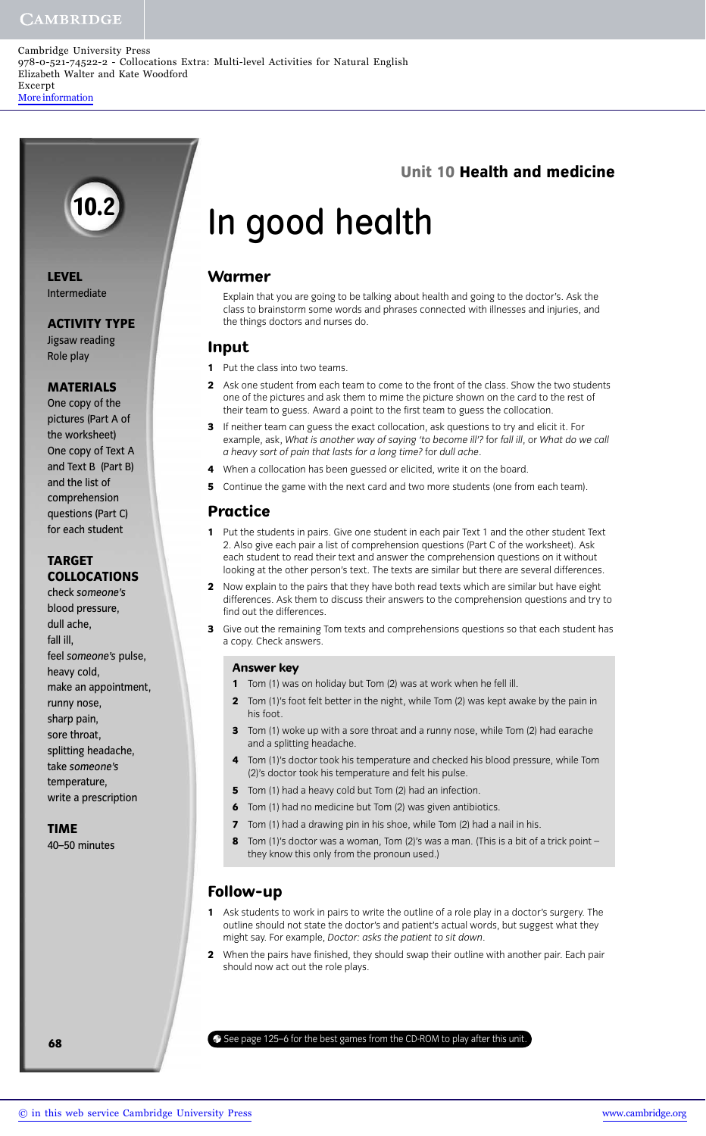## **CAMBRIDGE**

Cambridge University Press 978-0-521-74522-2 - Collocations Extra: Multi-level Activities for Natural English Elizabeth Walter and Kate Woodford Excerpt [More information](http://www.cambridge.org/9780521745222)

# **Unit 10 Health and medicine**

# In good health

# **Warmer**

Explain that you are going to be talking about health and going to the doctor's. Ask the class to brainstorm some words and phrases connected with illnesses and injuries, and the things doctors and nurses do.

#### **Input**

- **1** Put the class into two teams.
- **2** Ask one student from each team to come to the front of the class. Show the two students one of the pictures and ask them to mime the picture shown on the card to the rest of their team to guess. Award a point to the first team to guess the collocation.
- **3** If neither team can guess the exact collocation, ask questions to try and elicit it. For example, ask, *What is another way of saying 'to become ill'?* for *fall ill*, or *What do we call a heavy sort of pain that lasts for a long time?* for *dull ache*.
- **4** When a collocation has been guessed or elicited, write it on the board.
- **5** Continue the game with the next card and two more students (one from each team).

## **Practice**

- **1** Put the students in pairs. Give one student in each pair Text 1 and the other student Text 2. Also give each pair a list of comprehension questions (Part C of the worksheet). Ask each student to read their text and answer the comprehension questions on it without looking at the other person's text. The texts are similar but there are several differences.
- **2** Now explain to the pairs that they have both read texts which are similar but have eight differences. Ask them to discuss their answers to the comprehension questions and try to find out the differences.
- **3** Give out the remaining Tom texts and comprehensions questions so that each student has a copy. Check answers.

#### **Answer key**

- **1** Tom (1) was on holiday but Tom (2) was at work when he fell ill.
- **2** Tom (1)'s foot felt better in the night, while Tom (2) was kept awake by the pain in his foot.
- **3** Tom (1) woke up with a sore throat and a runny nose, while Tom (2) had earache and a splitting headache.
- **4** Tom (1)'s doctor took his temperature and checked his blood pressure, while Tom (2)'s doctor took his temperature and felt his pulse.
- **5** Tom (1) had a heavy cold but Tom (2) had an infection.
- **6** Tom (1) had no medicine but Tom (2) was given antibiotics.
- **7** Tom (1) had a drawing pin in his shoe, while Tom (2) had a nail in his.
- **8** Tom (1)'s doctor was a woman, Tom (2)'s was a man. (This is a bit of a trick point they know this only from the pronoun used.)

# **Follow-up**

- **1** Ask students to work in pairs to write the outline of a role play in a doctor's surgery. The outline should not state the doctor's and patient's actual words, but suggest what they might say. For example, *Doctor: asks the patient to sit down*.
- **2** When the pairs have finished, they should swap their outline with another pair. Each pair should now act out the role plays.

**68** See page 125–6 for the best games from the CD-ROM to play after this unit.

**10.2**

# **ACTIVITY TYPE**

Jigsaw reading Role play

### **MATERIALS**

One copy of the pictures (Part A of the worksheet) One copy of Text A and Text B (Part B) and the list of comprehension questions (Part C) for each student

# **TARGET COLLOCATIONS**

check *someone's* blood pressure, dull ache, fall ill, feel *someone's* pulse, heavy cold, make an appointment, runny nose, sharp pain, sore throat, splitting headache, take *someone's* temperature, write a prescription

#### **TIME**

40–50 minutes